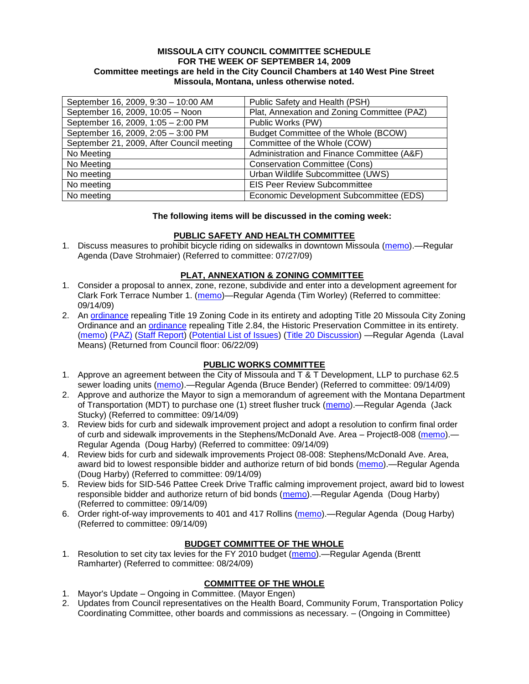#### **MISSOULA CITY COUNCIL COMMITTEE SCHEDULE FOR THE WEEK OF SEPTEMBER 14, 2009 Committee meetings are held in the City Council Chambers at 140 West Pine Street Missoula, Montana, unless otherwise noted.**

| September 16, 2009, 9:30 - 10:00 AM       | Public Safety and Health (PSH)              |
|-------------------------------------------|---------------------------------------------|
| September 16, 2009, 10:05 - Noon          | Plat, Annexation and Zoning Committee (PAZ) |
| September 16, 2009, 1:05 - 2:00 PM        | Public Works (PW)                           |
| September 16, 2009, 2:05 - 3:00 PM        | Budget Committee of the Whole (BCOW)        |
| September 21, 2009, After Council meeting | Committee of the Whole (COW)                |
| No Meeting                                | Administration and Finance Committee (A&F)  |
| No Meeting                                | <b>Conservation Committee (Cons)</b>        |
| No meeting                                | Urban Wildlife Subcommittee (UWS)           |
| No meeting                                | <b>EIS Peer Review Subcommittee</b>         |
| No meeting                                | Economic Development Subcommittee (EDS)     |

### **The following items will be discussed in the coming week:**

### **PUBLIC SAFETY AND HEALTH COMMITTEE**

1. Discuss measures to prohibit bicycle riding on sidewalks in downtown Missoula [\(memo\)](http://www.ci.missoula.mt.us/DocumentView.aspx?DID=1876).—Regular Agenda (Dave Strohmaier) (Referred to committee: 07/27/09)

### **PLAT, ANNEXATION & ZONING COMMITTEE**

- 1. Consider a proposal to annex, zone, rezone, subdivide and enter into a development agreement for Clark Fork Terrace Number 1. [\(memo\)](http://www.ci.missoula.mt.us/DocumentView.aspx?DID=2225)—Regular Agenda (Tim Worley) (Referred to committee: 09/14/09)
- 2. An [ordinance](http://www.ci.missoula.mt.us/DocumentView.aspx?DID=1280) repealing Title 19 Zoning Code in its entirety and adopting Title 20 Missoula City Zoning Ordinance and an [ordinance](http://www.ci.missoula.mt.us/DocumentView.aspx?DID=1274) repealing Title 2.84, the Historic Preservation Committee in its entirety. [\(memo\)](http://www.ci.missoula.mt.us/DocumentView.aspx?DID=1620) [\(PAZ\)](http://www.ci.missoula.mt.us/Archive.aspx?ADID=559) [\(Staff Report\)](http://www.ci.missoula.mt.us/DocumentView.aspx?DID=1642) [\(Potential List of Issues\)](http://www.ci.missoula.mt.us/DocumentView.aspx?DID=1707) [\(Title 20 Discussion\)](http://www.ci.missoula.mt.us/DocumentView.aspx?DID=2119) —Regular Agenda (Laval Means) (Returned from Council floor: 06/22/09)

# **PUBLIC WORKS COMMITTEE**

- 1. Approve an agreement between the City of Missoula and T & T Development, LLP to purchase 62.5 sewer loading units [\(memo\)](http://www.ci.missoula.mt.us/DocumentView.aspx?DID=2235).—Regular Agenda (Bruce Bender) (Referred to committee: 09/14/09)
- 2. Approve and authorize the Mayor to sign a memorandum of agreement with the Montana Department of Transportation (MDT) to purchase one (1) street flusher truck [\(memo\)](http://www.ci.missoula.mt.us/DocumentView.aspx?DID=2226).—Regular Agenda (Jack Stucky) (Referred to committee: 09/14/09)
- 3. Review bids for curb and sidewalk improvement project and adopt a resolution to confirm final order of curb and sidewalk improvements in the Stephens/McDonald Ave. Area – Project8-008 [\(memo\)](http://www.ci.missoula.mt.us/DocumentView.aspx?DID=2234).— Regular Agenda (Doug Harby) (Referred to committee: 09/14/09)
- 4. Review bids for curb and sidewalk improvements Project 08-008: Stephens/McDonald Ave. Area, award bid to lowest responsible bidder and authorize return of bid bonds [\(memo\)](http://www.ci.missoula.mt.us/DocumentView.aspx?DID=2233).—Regular Agenda (Doug Harby) (Referred to committee: 09/14/09)
- 5. Review bids for SID-546 Pattee Creek Drive Traffic calming improvement project, award bid to lowest responsible bidder and authorize return of bid bonds [\(memo\)](http://www.ci.missoula.mt.us/DocumentView.aspx?DID=2230).—Regular Agenda (Doug Harby) (Referred to committee: 09/14/09)
- 6. Order right-of-way improvements to 401 and 417 Rollins [\(memo\)](http://www.ci.missoula.mt.us/DocumentView.aspx?DID=2232).—Regular Agenda (Doug Harby) (Referred to committee: 09/14/09)

# **BUDGET COMMITTEE OF THE WHOLE**

1. Resolution to set city tax levies for the FY 2010 budget [\(memo\)](http://www.ci.missoula.mt.us/DocumentView.aspx?DID=2123).—Regular Agenda (Brentt Ramharter) (Referred to committee: 08/24/09)

# **COMMITTEE OF THE WHOLE**

- 1. Mayor's Update Ongoing in Committee. (Mayor Engen)
- 2. Updates from Council representatives on the Health Board, Community Forum, Transportation Policy Coordinating Committee, other boards and commissions as necessary. – (Ongoing in Committee)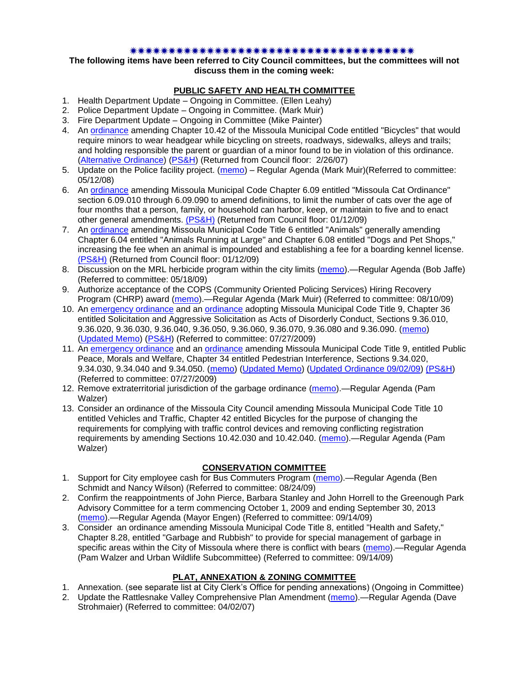#### \*\*\*\*\*\*\*\*\*\*\*\*\*\*\*\*\*\*\*\*\*\*\*\*\*\*\*\*\*\*\*\*\*\*\*\*\*

### **The following items have been referred to City Council committees, but the committees will not discuss them in the coming week:**

### **PUBLIC SAFETY AND HEALTH COMMITTEE**

- 1. Health Department Update Ongoing in Committee. (Ellen Leahy)
- 2. Police Department Update Ongoing in Committee. (Mark Muir)
- 3. Fire Department Update Ongoing in Committee (Mike Painter)
- 4. An [ordinance](ftp://ftp.ci.missoula.mt.us/Packets/Council/2007/2007-02-05/07-01-31 Helmet and bikes psh.htm) amending Chapter 10.42 of the Missoula Municipal Code entitled "Bicycles" that would require minors to wear headgear while bicycling on streets, roadways, sidewalks, alleys and trails; and holding responsible the parent or guardian of a minor found to be in violation of this ordinance. [\(Alternative Ordinance\)](ftp://ftp.ci.missoula.mt.us/Packets/Council/2007/2007-02-26/07-02-19_Alternative_Helmet_and_bikes.htm) [\(PS&H\)](ftp://ftp.ci.missoula.mt.us/Packets/Council/2007/2007-02-05/070131psh.pdf) (Returned from Council floor: 2/26/07)
- 5. Update on the Police facility project. [\(memo\)](ftp://ftp.ci.missoula.mt.us/Packets/Council/2008/2008-05-12/Referrals/Buildingpresentationreferral.htm) Regular Agenda (Mark Muir)(Referred to committee: 05/12/08)
- 6. An [ordinance](ftp://ftp.ci.missoula.mt.us/Packets/Council/2008/2008-12-15/2008CatOrdinanceAmendment%5B1%5D.pdf) amending Missoula Municipal Code Chapter 6.09 entitled "Missoula Cat Ordinance" section 6.09.010 through 6.09.090 to amend definitions, to limit the number of cats over the age of four months that a person, family, or household can harbor, keep, or maintain to five and to enact other general amendments. [\(PS&H\)](ftp://ftp.ci.missoula.mt.us/Packets/Council/2008/2008-12-15/081210psh.pdf) (Returned from Council floor: 01/12/09)
- 7. An [ordinance](ftp://ftp.ci.missoula.mt.us/Packets/Council/2008/2008-12-15/DogOrdinance--PSHrevisions.pdf) amending Missoula Municipal Code Title 6 entitled "Animals" generally amending Chapter 6.04 entitled "Animals Running at Large" and Chapter 6.08 entitled "Dogs and Pet Shops," increasing the fee when an animal is impounded and establishing a fee for a boarding kennel license. [\(PS&H\)](ftp://ftp.ci.missoula.mt.us/Packets/Council/2008/2008-12-15/081210psh.pdf) (Returned from Council floor: 01/12/09)
- 8. Discussion on the MRL herbicide program within the city limits [\(memo\)](ftp://ftp.ci.missoula.mt.us/Packets/Council/2009/2009-05-18/Referrals/MRLWeedSprayingReferral.pdf).—Regular Agenda (Bob Jaffe) (Referred to committee: 05/18/09)
- 9. Authorize acceptance of the COPS (Community Oriented Policing Services) Hiring Recovery Program (CHRP) award [\(memo\)](http://www.ci.missoula.mt.us/DocumentView.aspx?DID=1999).—Regular Agenda (Mark Muir) (Referred to committee: 08/10/09)
- 10. An [emergency ordinance](http://www.ci.missoula.mt.us/DocumentView.aspx?DID=1652) and an [ordinance](http://www.ci.missoula.mt.us/DocumentView.aspx?DID=1650) adopting Missoula Municipal Code Title 9, Chapter 36 entitled Solicitation and Aggressive Solicitation as Acts of Disorderly Conduct, Sections 9.36.010, 9.36.020, 9.36.030, 9.36.040, 9.36.050, 9.36.060, 9.36.070, 9.36.080 and 9.36.090. [\(memo\)](ftp://ftp.ci.missoula.mt.us/Packets/Council/2009/2009-05-18/Referrals/PWGReferral.pdf) [\(Updated Memo\)](http://www.ci.missoula.mt.us/DocumentView.aspx?DID=1654) [\(PS&H\)](http://www.ci.missoula.mt.us/Archive.aspx?ADID=883) (Referred to committee: 07/27/2009)
- 11. An [emergency ordinance](http://www.ci.missoula.mt.us/DocumentView.aspx?DID=1651) and an [ordinance](http://www.ci.missoula.mt.us/DocumentView.aspx?DID=1653) amending Missoula Municipal Code Title 9, entitled Public Peace, Morals and Welfare, Chapter 34 entitled Pedestrian Interference, Sections 9.34.020, 9.34.030, 9.34.040 and 9.34.050. [\(memo\)](ftp://ftp.ci.missoula.mt.us/Packets/Council/2009/2009-05-18/Referrals/PWGReferral.pdf) [\(Updated Memo\)](http://www.ci.missoula.mt.us/DocumentView.aspx?DID=1654) [\(Updated Ordinance 09/02/09\)](http://www.ci.missoula.mt.us/DocumentView.aspx?DID=2185) [\(PS&H\)](http://www.ci.missoula.mt.us/Archive.aspx?ADID=883) (Referred to committee: 07/27/2009)
- 12. Remove extraterritorial jurisdiction of the garbage ordinance [\(memo\)](http://www.ci.missoula.mt.us/DocumentView.aspx?DID=2229) Regular Agenda (Pam Walzer)
- 13. Consider an ordinance of the Missoula City Council amending Missoula Municipal Code Title 10 entitled Vehicles and Traffic, Chapter 42 entitled Bicycles for the purpose of changing the requirements for complying with traffic control devices and removing conflicting registration requirements by amending Sections 10.42.030 and 10.42.040. [\(memo\)](http://www.ci.missoula.mt.us/DocumentView.aspx?DID=2223).—Regular Agenda (Pam Walzer)

# **CONSERVATION COMMITTEE**

- 1. Support for City employee cash for Bus Commuters Program [\(memo\)](http://www.ci.missoula.mt.us/DocumentView.aspx?DID=2127).—Regular Agenda (Ben Schmidt and Nancy Wilson) (Referred to committee: 08/24/09)
- 2. Confirm the reappointments of John Pierce, Barbara Stanley and John Horrell to the Greenough Park Advisory Committee for a term commencing October 1, 2009 and ending September 30, 2013 [\(memo\)](http://www.ci.missoula.mt.us/DocumentView.aspx?DID=2224).—Regular Agenda (Mayor Engen) (Referred to committee: 09/14/09)
- 3. Consider an ordinance amending Missoula Municipal Code Title 8, entitled "Health and Safety," Chapter 8.28, entitled "Garbage and Rubbish" to provide for special management of garbage in specific areas within the City of Missoula where there is conflict with bears [\(memo\)](http://www.ci.missoula.mt.us/DocumentView.aspx?DID=2228).—Regular Agenda (Pam Walzer and Urban Wildlife Subcommittee) (Referred to committee: 09/14/09)

# **PLAT, ANNEXATION & ZONING COMMITTEE**

- 1. Annexation. (see separate list at City Clerk's Office for pending annexations) (Ongoing in Committee)
- 2. Update the Rattlesnake Valley Comprehensive Plan Amendment [\(memo\)](ftp://ftp.ci.missoula.mt.us/Packets/Council/2007/2007-04-02/Referrals/Rattlesnake_Plan_Update_referral.pdf).—Regular Agenda (Dave Strohmaier) (Referred to committee: 04/02/07)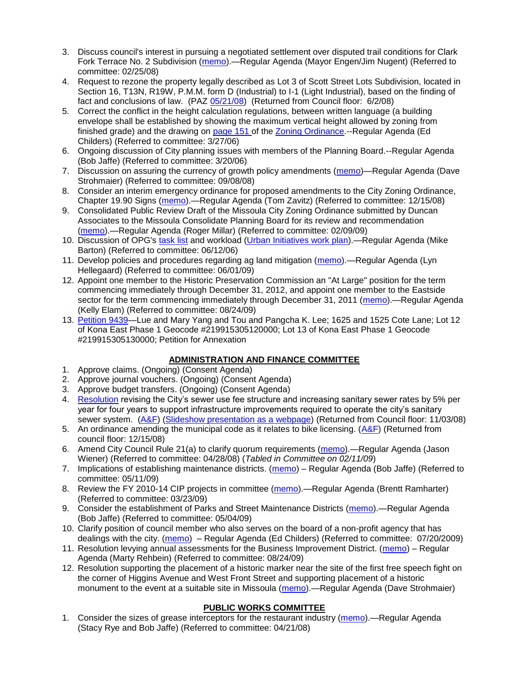- 3. Discuss council's interest in pursuing a negotiated settlement over disputed trail conditions for Clark Fork Terrace No. 2 Subdivision [\(memo\)](ftp://ftp.ci.missoula.mt.us/Packets/Council/2008/2008-02-25/Referrals/Clark_Fork_Terrace_2.pdf).—Regular Agenda (Mayor Engen/Jim Nugent) (Referred to committee: 02/25/08)
- 4. Request to rezone the property legally described as Lot 3 of Scott Street Lots Subdivision, located in Section 16, T13N, R19W, P.M.M. form D (Industrial) to I-1 (Light Industrial), based on the finding of fact and conclusions of law. (PAZ [05/21/08\)](ftp://ftp.ci.missoula.mt.us/Packets/Council/2008/2008-06-02/080521paz.pdf) (Returned from Council floor: 6/2/08)
- 5. Correct the conflict in the height calculation regulations, between written language (a building envelope shall be established by showing the maximum vertical height allowed by zoning from finished grade) and the drawing on [page 151 o](ftp://www.co.missoula.mt.us/opg2/Documents/CurrentRegulations/CityZoningTitle19/CH19.67Hillside.pdf)f the [Zoning Ordinance.](ftp://www.co.missoula.mt.us/opg2/Documents/CurrentRegulations/CityZoningTitle19/CityOrdinanceLP.htm)--Regular Agenda (Ed Childers) (Referred to committee: 3/27/06)
- 6. Ongoing discussion of City planning issues with members of the Planning Board.--Regular Agenda (Bob Jaffe) (Referred to committee: 3/20/06)
- 7. Discussion on assuring the currency of growth policy amendments [\(memo\)](ftp://ftp.ci.missoula.mt.us/Packets/Council/2008/2008-09-08/Referrals/Plan_updates.pdf)—Regular Agenda (Dave Strohmaier) (Referred to committee: 09/08/08)
- 8. Consider an interim emergency ordinance for proposed amendments to the City Zoning Ordinance, Chapter 19.90 Signs [\(memo\)](ftp://ftp.ci.missoula.mt.us/Packets/Council/2008/2008-12-15/Referrals/ElectronicSignOrdinanceMemo.pdf).—Regular Agenda (Tom Zavitz) (Referred to committee: 12/15/08)
- 9. Consolidated Public Review Draft of the Missoula City Zoning Ordinance submitted by Duncan Associates to the Missoula Consolidate Planning Board for its review and recommendation [\(memo\)](ftp://ftp.ci.missoula.mt.us/Packets/Council/2009/2009-02-09/Referrals/CodeRewritetoPBMemo.pdf).—Regular Agenda (Roger Millar) (Referred to committee: 02/09/09)
- 10. Discussion of OPG's [task list](ftp://ftp.ci.missoula.mt.us/Packets/Council/2008/2008-07-07/UITaskList.pdf) and workload [\(Urban Initiatives work plan\)](ftp://ftp.ci.missoula.mt.us/Packets/Council/2006/2006-06-12/Referrals/Urban_Init.htm).—Regular Agenda (Mike Barton) (Referred to committee: 06/12/06)
- 11. Develop policies and procedures regarding ag land mitigation [\(memo\)](http://www.ci.missoula.mt.us/DocumentView.aspx?DID=1272).—Regular Agenda (Lyn Hellegaard) (Referred to committee: 06/01/09)
- 12. Appoint one member to the Historic Preservation Commission an "At Large" position for the term commencing immediately through December 31, 2012, and appoint one member to the Eastside sector for the term commencing immediately through December 31, 2011 [\(memo\)](http://www.ci.missoula.mt.us/DocumentView.aspx?DID=2128).—Regular Agenda (Kelly Elam) (Referred to committee: 08/24/09)
- 13. [Petition 9439—](http://www.ci.missoula.mt.us/DocumentView.aspx?DID=2222)Lue and Mary Yang and Tou and Pangcha K. Lee; 1625 and 1525 Cote Lane; Lot 12 of Kona East Phase 1 Geocode #219915305120000; Lot 13 of Kona East Phase 1 Geocode #219915305130000; Petition for Annexation

# **ADMINISTRATION AND FINANCE COMMITTEE**

- 1. Approve claims. (Ongoing) (Consent Agenda)
- 2. Approve journal vouchers. (Ongoing) (Consent Agenda)
- 3. Approve budget transfers. (Ongoing) (Consent Agenda)
- 4. [Resolution](ftp://ftp.ci.missoula.mt.us/Packets/Council/2008/2008-09-22/referrals/Sewerrateresolution.pdf) revising the City's sewer use fee structure and increasing sanitary sewer rates by 5% per year for four years to support infrastructure improvements required to operate the city's sanitary sewer system. [\(A&F\)](ftp://ftp.ci.missoula.mt.us/Packets/Council/2008/2008-10-06/081001af.pdf) [\(Slideshow presentation as a webpage\)](ftp://ftp.ci.missoula.mt.us/Packets/Council/2008/2008-11-03/2008-11-03SewerUserRateIncrease_files/frame.htm) (Returned from Council floor: 11/03/08)
- 5. An ordinance amending the municipal code as it relates to bike licensing.  $(A\&F)$  (Returned from council floor: 12/15/08)
- 6. Amend City Council Rule 21(a) to clarify quorum requirements [\(memo\)](ftp://ftp.ci.missoula.mt.us/Packets/Council/2008/2008-04-28/Referrals/CouncilRule21aReferral.pdf).—Regular Agenda (Jason Wiener) (Referred to committee: 04/28/08) (*Tabled in Committee on 02/11/09*)
- 7. Implications of establishing maintenance districts. [\(memo\)](ftp://ftp.ci.missoula.mt.us/Packets/Council/2009/2009-05-11/Referrals/MaintenanceDistricts.pdf) Regular Agenda (Bob Jaffe) (Referred to committee: 05/11/09)
- 8. Review the FY 2010-14 CIP projects in committee [\(memo\)](ftp://ftp.ci.missoula.mt.us/Packets/Council/2009/2009-03-23/Referrals/RefAFCIPBudgetReviewFY2010-2014CIP.pdf).—Regular Agenda (Brentt Ramharter) (Referred to committee: 03/23/09)
- 9. Consider the establishment of Parks and Street Maintenance Districts [\(memo\)](ftp://ftp.ci.missoula.mt.us/Packets/Council/2009/2009-05-04/Referrals/MaintenanceDistricts.pdf).—Regular Agenda (Bob Jaffe) (Referred to committee: 05/04/09)
- 10. Clarify position of council member who also serves on the board of a non-profit agency that has dealings with the city. [\(memo\)](http://www.ci.missoula.mt.us/DocumentView.aspx?DID=1840) – Regular Agenda (Ed Childers) (Referred to committee: 07/20/2009)
- 11. Resolution levying annual assessments for the Business Improvement District. [\(memo\)](http://www.ci.missoula.mt.us/DocumentView.aspx?DID=2098) Regular Agenda (Marty Rehbein) (Referred to committee: 08/24/09)
- 12. Resolution supporting the placement of a historic marker near the site of the first free speech fight on the corner of Higgins Avenue and West Front Street and supporting placement of a historic monument to the event at a suitable site in Missoula [\(memo\)](http://www.ci.missoula.mt.us/DocumentView.aspx?DID=2227).—Regular Agenda (Dave Strohmaier)

# **PUBLIC WORKS COMMITTEE**

1. Consider the sizes of grease interceptors for the restaurant industry [\(memo\)](ftp://ftp.ci.missoula.mt.us/Packets/Council/2008/2008-04-21/Referrals/Industrial_waste_restaurants.pdf).—Regular Agenda (Stacy Rye and Bob Jaffe) (Referred to committee: 04/21/08)